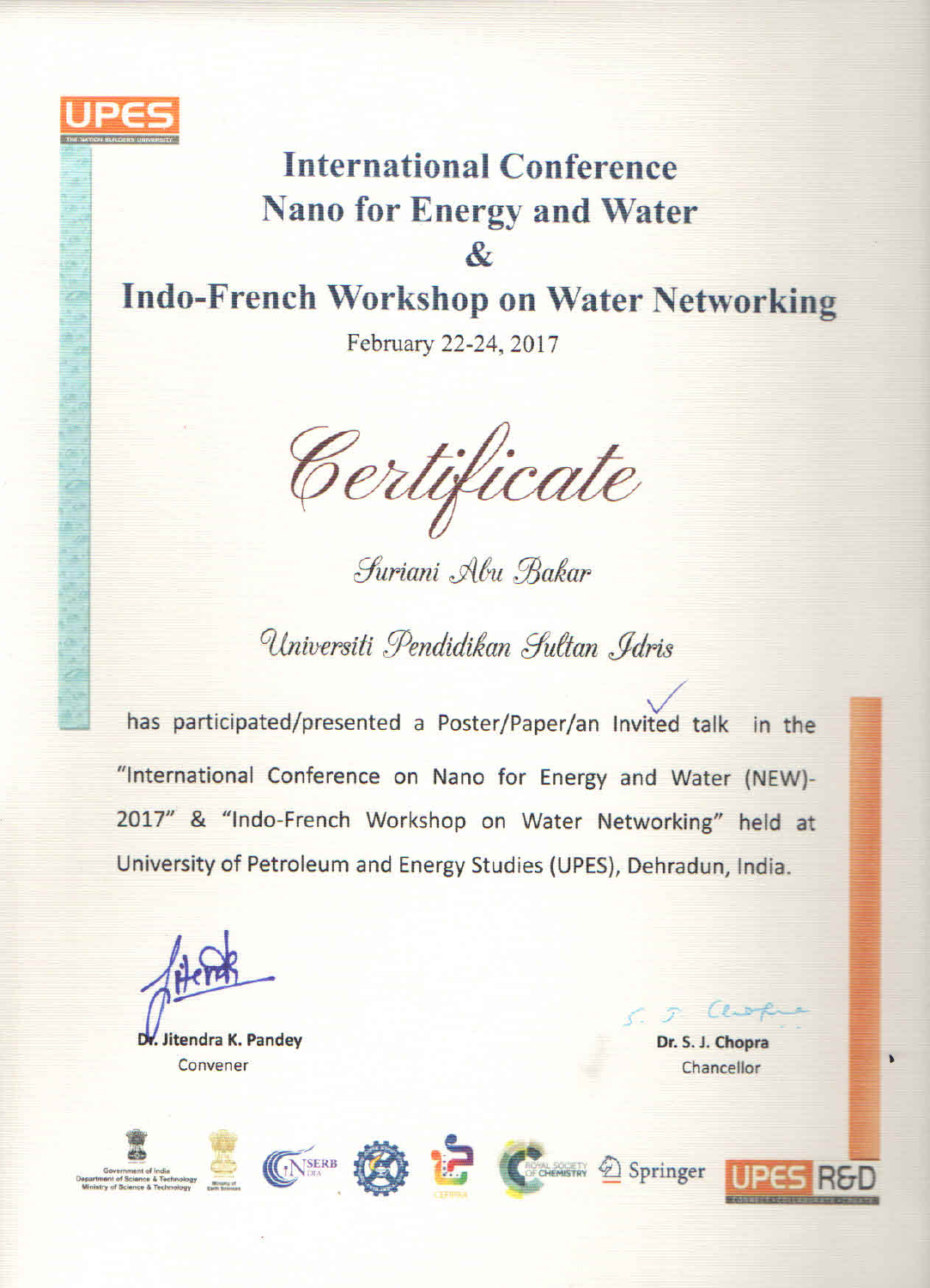

# **International Conference Nano for Energy and Water** &

## **Indo-French Workshop on Water Networking**

February 22-24, 2017

Certificate

Suriani Abu Bakar

Universiti Pendidikan Sultan , Idris

has participated/presented a Poster/Paper/an Invited talk in the "International Conference on Nano for Energy and Water (NEW)-2017" & "Indo-French Workshop on Water Networking" held at University of Petroleum and Energy Studies (UPES), Dehradun, India.

itendra K. Pandey Convener